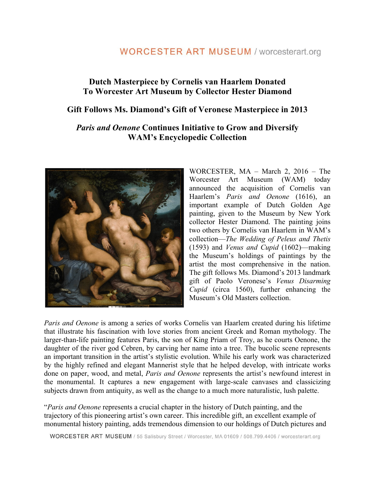# **WORCESTER ART MUSEUM / worcesterart.org**

### **Dutch Masterpiece by Cornelis van Haarlem Donated To Worcester Art Museum by Collector Hester Diamond**

### **Gift Follows Ms. Diamond's Gift of Veronese Masterpiece in 2013**

### *Paris and Oenone* **Continues Initiative to Grow and Diversify WAM's Encyclopedic Collection**



WORCESTER, MA – March 2, 2016 – The Worcester Art Museum (WAM) today announced the acquisition of Cornelis van Haarlem's *Paris and Oenone* (1616), an important example of Dutch Golden Age painting, given to the Museum by New York collector Hester Diamond. The painting joins two others by Cornelis van Haarlem in WAM's collection—*The Wedding of Peleus and Thetis*  (1593) and *Venus and Cupid* (1602)—making the Museum's holdings of paintings by the artist the most comprehensive in the nation. The gift follows Ms. Diamond's 2013 landmark gift of Paolo Veronese's *Venus Disarming Cupid* (circa 1560), further enhancing the Museum's Old Masters collection.

*Paris and Oenone* is among a series of works Cornelis van Haarlem created during his lifetime that illustrate his fascination with love stories from ancient Greek and Roman mythology. The larger-than-life painting features Paris, the son of King Priam of Troy, as he courts Oenone, the daughter of the river god Cebren, by carving her name into a tree. The bucolic scene represents an important transition in the artist's stylistic evolution. While his early work was characterized by the highly refined and elegant Mannerist style that he helped develop, with intricate works done on paper, wood, and metal, *Paris and Oenone* represents the artist's newfound interest in the monumental. It captures a new engagement with large-scale canvases and classicizing subjects drawn from antiquity, as well as the change to a much more naturalistic, lush palette.

"*Paris and Oenone* represents a crucial chapter in the history of Dutch painting, and the trajectory of this pioneering artist's own career. This incredible gift, an excellent example of monumental history painting, adds tremendous dimension to our holdings of Dutch pictures and

WORCESTER ART MUSEUM / 55 Salisbury Street / Worcester, MA 01609 / 508.799.4406 / worcesterart.org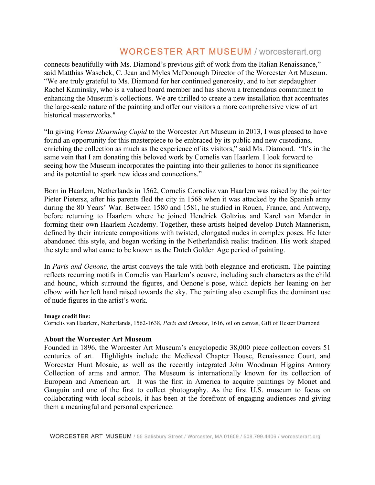# **WORCESTER ART MUSEUM / worcesterart.org**

connects beautifully with Ms. Diamond's previous gift of work from the Italian Renaissance," said Matthias Waschek, C. Jean and Myles McDonough Director of the Worcester Art Museum. "We are truly grateful to Ms. Diamond for her continued generosity, and to her stepdaughter Rachel Kaminsky, who is a valued board member and has shown a tremendous commitment to enhancing the Museum's collections. We are thrilled to create a new installation that accentuates the large-scale nature of the painting and offer our visitors a more comprehensive view of art historical masterworks."

"In giving *Venus Disarming Cupid* to the Worcester Art Museum in 2013, I was pleased to have found an opportunity for this masterpiece to be embraced by its public and new custodians, enriching the collection as much as the experience of its visitors," said Ms. Diamond. "It's in the same vein that I am donating this beloved work by Cornelis van Haarlem. I look forward to seeing how the Museum incorporates the painting into their galleries to honor its significance and its potential to spark new ideas and connections."

Born in Haarlem, Netherlands in 1562, Cornelis Cornelisz van Haarlem was raised by the painter Pieter Pietersz, after his parents fled the city in 1568 when it was attacked by the Spanish army during the 80 Years' War. Between 1580 and 1581, he studied in Rouen, France, and Antwerp, before returning to Haarlem where he joined Hendrick Goltzius and Karel van Mander in forming their own Haarlem Academy. Together, these artists helped develop Dutch Mannerism, defined by their intricate compositions with twisted, elongated nudes in complex poses. He later abandoned this style, and began working in the Netherlandish realist tradition. His work shaped the style and what came to be known as the Dutch Golden Age period of painting.

In *Paris and Oenone*, the artist conveys the tale with both elegance and eroticism. The painting reflects recurring motifs in Cornelis van Haarlem's oeuvre, including such characters as the child and hound, which surround the figures, and Oenone's pose, which depicts her leaning on her elbow with her left hand raised towards the sky. The painting also exemplifies the dominant use of nude figures in the artist's work.

#### **Image credit line:**

Cornelis van Haarlem, Netherlands, 1562-1638, *Paris and Oenone*, 1616, oil on canvas, Gift of Hester Diamond

#### **About the Worcester Art Museum**

Founded in 1896, the Worcester Art Museum's encyclopedic 38,000 piece collection covers 51 centuries of art. Highlights include the Medieval Chapter House, Renaissance Court, and Worcester Hunt Mosaic, as well as the recently integrated John Woodman Higgins Armory Collection of arms and armor. The Museum is internationally known for its collection of European and American art. It was the first in America to acquire paintings by Monet and Gauguin and one of the first to collect photography. As the first U.S. museum to focus on collaborating with local schools, it has been at the forefront of engaging audiences and giving them a meaningful and personal experience.